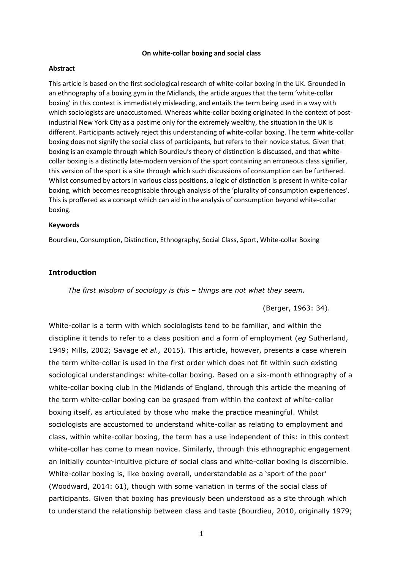#### **On white-collar boxing and social class**

#### **Abstract**

This article is based on the first sociological research of white-collar boxing in the UK. Grounded in an ethnography of a boxing gym in the Midlands, the article argues that the term 'white-collar boxing' in this context is immediately misleading, and entails the term being used in a way with which sociologists are unaccustomed. Whereas white-collar boxing originated in the context of postindustrial New York City as a pastime only for the extremely wealthy, the situation in the UK is different. Participants actively reject this understanding of white-collar boxing. The term white-collar boxing does not signify the social class of participants, but refers to their novice status. Given that boxing is an example through which Bourdieu's theory of distinction is discussed, and that whitecollar boxing is a distinctly late-modern version of the sport containing an erroneous class signifier, this version of the sport is a site through which such discussions of consumption can be furthered. Whilst consumed by actors in various class positions, a logic of distinction is present in white-collar boxing, which becomes recognisable through analysis of the 'plurality of consumption experiences'. This is proffered as a concept which can aid in the analysis of consumption beyond white-collar boxing.

## **Keywords**

Bourdieu, Consumption, Distinction, Ethnography, Social Class, Sport, White-collar Boxing

# **Introduction**

*The first wisdom of sociology is this – things are not what they seem.*

(Berger, 1963: 34).

White-collar is a term with which sociologists tend to be familiar, and within the discipline it tends to refer to a class position and a form of employment (*eg* Sutherland, 1949; Mills, 2002; Savage *et al.,* 2015). This article, however, presents a case wherein the term white-collar is used in the first order which does not fit within such existing sociological understandings: white-collar boxing. Based on a six-month ethnography of a white-collar boxing club in the Midlands of England, through this article the meaning of the term white-collar boxing can be grasped from within the context of white-collar boxing itself, as articulated by those who make the practice meaningful. Whilst sociologists are accustomed to understand white-collar as relating to employment and class, within white-collar boxing, the term has a use independent of this: in this context white-collar has come to mean novice. Similarly, through this ethnographic engagement an initially counter-intuitive picture of social class and white-collar boxing is discernible. White-collar boxing is, like boxing overall, understandable as a 'sport of the poor' (Woodward, 2014: 61), though with some variation in terms of the social class of participants. Given that boxing has previously been understood as a site through which to understand the relationship between class and taste (Bourdieu, 2010, originally 1979;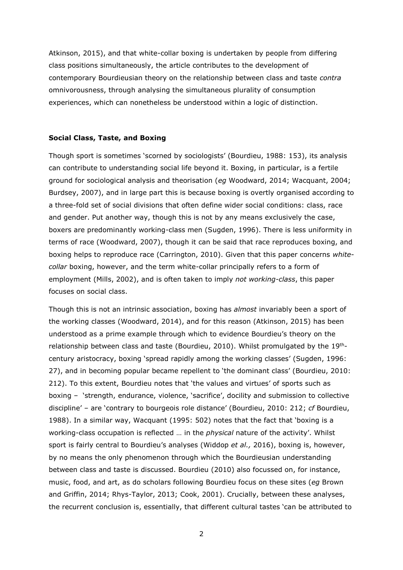Atkinson, 2015), and that white-collar boxing is undertaken by people from differing class positions simultaneously, the article contributes to the development of contemporary Bourdieusian theory on the relationship between class and taste *contra* omnivorousness, through analysing the simultaneous plurality of consumption experiences, which can nonetheless be understood within a logic of distinction.

#### **Social Class, Taste, and Boxing**

Though sport is sometimes 'scorned by sociologists' (Bourdieu, 1988: 153), its analysis can contribute to understanding social life beyond it. Boxing, in particular, is a fertile ground for sociological analysis and theorisation (*eg* Woodward, 2014; Wacquant, 2004; Burdsey, 2007), and in large part this is because boxing is overtly organised according to a three-fold set of social divisions that often define wider social conditions: class, race and gender. Put another way, though this is not by any means exclusively the case, boxers are predominantly working-class men (Sugden, 1996). There is less uniformity in terms of race (Woodward, 2007), though it can be said that race reproduces boxing, and boxing helps to reproduce race (Carrington, 2010). Given that this paper concerns *whitecollar* boxing, however, and the term white-collar principally refers to a form of employment (Mills, 2002), and is often taken to imply *not working-class*, this paper focuses on social class.

Though this is not an intrinsic association, boxing has *almost* invariably been a sport of the working classes (Woodward, 2014), and for this reason (Atkinson, 2015) has been understood as a prime example through which to evidence Bourdieu's theory on the relationship between class and taste (Bourdieu, 2010). Whilst promulgated by the 19<sup>th</sup>century aristocracy, boxing 'spread rapidly among the working classes' (Sugden, 1996: 27), and in becoming popular became repellent to 'the dominant class' (Bourdieu, 2010: 212). To this extent, Bourdieu notes that 'the values and virtues' of sports such as boxing – 'strength, endurance, violence, 'sacrifice', docility and submission to collective discipline' – are 'contrary to bourgeois role distance' (Bourdieu, 2010: 212; *cf* Bourdieu, 1988). In a similar way, Wacquant (1995: 502) notes that the fact that 'boxing is a working-class occupation is reflected … in the *physical* nature of the activity'. Whilst sport is fairly central to Bourdieu's analyses (Widdop *et al.,* 2016), boxing is, however, by no means the only phenomenon through which the Bourdieusian understanding between class and taste is discussed. Bourdieu (2010) also focussed on, for instance, music, food, and art, as do scholars following Bourdieu focus on these sites (*eg* Brown and Griffin, 2014; Rhys-Taylor, 2013; Cook, 2001). Crucially, between these analyses, the recurrent conclusion is, essentially, that different cultural tastes 'can be attributed to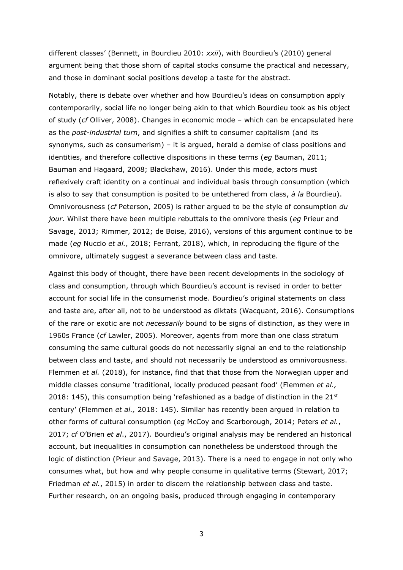different classes' (Bennett, in Bourdieu 2010: *xxii*), with Bourdieu's (2010) general argument being that those shorn of capital stocks consume the practical and necessary, and those in dominant social positions develop a taste for the abstract.

Notably, there is debate over whether and how Bourdieu's ideas on consumption apply contemporarily, social life no longer being akin to that which Bourdieu took as his object of study (*cf* Olliver, 2008). Changes in economic mode – which can be encapsulated here as the *post-industrial turn*, and signifies a shift to consumer capitalism (and its synonyms, such as consumerism) – it is argued, herald a demise of class positions and identities, and therefore collective dispositions in these terms (*eg* Bauman, 2011; Bauman and Hagaard, 2008; Blackshaw, 2016). Under this mode, actors must reflexively craft identity on a continual and individual basis through consumption (which is also to say that consumption is posited to be untethered from class, *à la* Bourdieu). Omnivorousness (*cf* Peterson, 2005) is rather argued to be the style of consumption *du jour*. Whilst there have been multiple rebuttals to the omnivore thesis (*eg* Prieur and Savage, 2013; Rimmer, 2012; de Boise, 2016), versions of this argument continue to be made (*eg* Nuccio *et al.,* 2018; Ferrant, 2018), which, in reproducing the figure of the omnivore, ultimately suggest a severance between class and taste.

Against this body of thought, there have been recent developments in the sociology of class and consumption, through which Bourdieu's account is revised in order to better account for social life in the consumerist mode. Bourdieu's original statements on class and taste are, after all, not to be understood as diktats (Wacquant, 2016). Consumptions of the rare or exotic are not *necessarily* bound to be signs of distinction, as they were in 1960s France (*cf* Lawler, 2005). Moreover, agents from more than one class stratum consuming the same cultural goods do not necessarily signal an end to the relationship between class and taste, and should not necessarily be understood as omnivorousness. Flemmen *et al.* (2018), for instance, find that that those from the Norwegian upper and middle classes consume 'traditional, locally produced peasant food' (Flemmen *et al.,* 2018: 145), this consumption being 'refashioned as a badge of distinction in the  $21^{st}$ century' (Flemmen *et al.,* 2018: 145). Similar has recently been argued in relation to other forms of cultural consumption (*eg* McCoy and Scarborough, 2014; Peters *et al.*, 2017; *cf* O'Brien *et al*., 2017). Bourdieu's original analysis may be rendered an historical account, but inequalities in consumption can nonetheless be understood through the logic of distinction (Prieur and Savage, 2013). There is a need to engage in not only who consumes what, but how and why people consume in qualitative terms (Stewart, 2017; Friedman *et al.*, 2015) in order to discern the relationship between class and taste. Further research, on an ongoing basis, produced through engaging in contemporary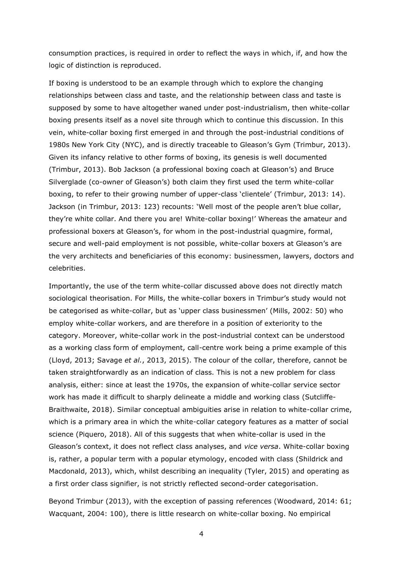consumption practices, is required in order to reflect the ways in which, if, and how the logic of distinction is reproduced.

If boxing is understood to be an example through which to explore the changing relationships between class and taste, and the relationship between class and taste is supposed by some to have altogether waned under post-industrialism, then white-collar boxing presents itself as a novel site through which to continue this discussion. In this vein, white-collar boxing first emerged in and through the post-industrial conditions of 1980s New York City (NYC), and is directly traceable to Gleason's Gym (Trimbur, 2013). Given its infancy relative to other forms of boxing, its genesis is well documented (Trimbur, 2013). Bob Jackson (a professional boxing coach at Gleason's) and Bruce Silverglade (co-owner of Gleason's) both claim they first used the term white-collar boxing, to refer to their growing number of upper-class 'clientele' (Trimbur, 2013: 14). Jackson (in Trimbur, 2013: 123) recounts: 'Well most of the people aren't blue collar, they're white collar. And there you are! White-collar boxing!' Whereas the amateur and professional boxers at Gleason's, for whom in the post-industrial quagmire, formal, secure and well-paid employment is not possible, white-collar boxers at Gleason's are the very architects and beneficiaries of this economy: businessmen, lawyers, doctors and celebrities.

Importantly, the use of the term white-collar discussed above does not directly match sociological theorisation. For Mills, the white-collar boxers in Trimbur's study would not be categorised as white-collar, but as 'upper class businessmen' (Mills, 2002: 50) who employ white-collar workers, and are therefore in a position of exteriority to the category. Moreover, white-collar work in the post-industrial context can be understood as a working class form of employment, call-centre work being a prime example of this (Lloyd, 2013; Savage *et al.*, 2013, 2015). The colour of the collar, therefore, cannot be taken straightforwardly as an indication of class. This is not a new problem for class analysis, either: since at least the 1970s, the expansion of white-collar service sector work has made it difficult to sharply delineate a middle and working class (Sutcliffe-Braithwaite, 2018). Similar conceptual ambiguities arise in relation to white-collar crime, which is a primary area in which the white-collar category features as a matter of social science (Piquero, 2018). All of this suggests that when white-collar is used in the Gleason's context, it does not reflect class analyses, and *vice versa*. White-collar boxing is, rather, a popular term with a popular etymology, encoded with class (Shildrick and Macdonald, 2013), which, whilst describing an inequality (Tyler, 2015) and operating as a first order class signifier, is not strictly reflected second-order categorisation.

Beyond Trimbur (2013), with the exception of passing references (Woodward, 2014: 61; Wacquant, 2004: 100), there is little research on white-collar boxing. No empirical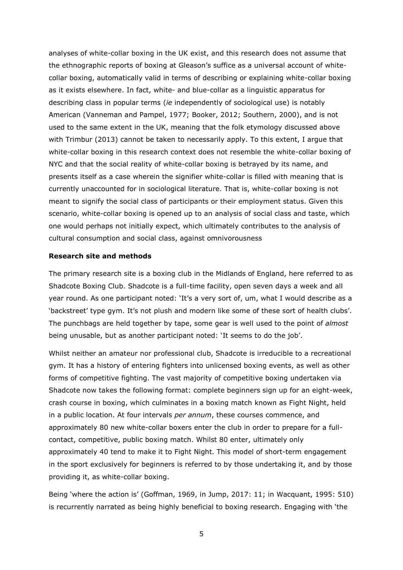analyses of white-collar boxing in the UK exist, and this research does not assume that the ethnographic reports of boxing at Gleason's suffice as a universal account of whitecollar boxing, automatically valid in terms of describing or explaining white-collar boxing as it exists elsewhere. In fact, white- and blue-collar as a linguistic apparatus for describing class in popular terms (*ie* independently of sociological use) is notably American (Vanneman and Pampel, 1977; Booker, 2012; Southern, 2000), and is not used to the same extent in the UK, meaning that the folk etymology discussed above with Trimbur (2013) cannot be taken to necessarily apply. To this extent, I argue that white-collar boxing in this research context does not resemble the white-collar boxing of NYC and that the social reality of white-collar boxing is betrayed by its name, and presents itself as a case wherein the signifier white-collar is filled with meaning that is currently unaccounted for in sociological literature. That is, white-collar boxing is not meant to signify the social class of participants or their employment status. Given this scenario, white-collar boxing is opened up to an analysis of social class and taste, which one would perhaps not initially expect, which ultimately contributes to the analysis of cultural consumption and social class, against omnivorousness

## **Research site and methods**

The primary research site is a boxing club in the Midlands of England, here referred to as Shadcote Boxing Club. Shadcote is a full-time facility, open seven days a week and all year round. As one participant noted: 'It's a very sort of, um, what I would describe as a 'backstreet' type gym. It's not plush and modern like some of these sort of health clubs'. The punchbags are held together by tape, some gear is well used to the point of *almost* being unusable, but as another participant noted: 'It seems to do the job'.

Whilst neither an amateur nor professional club, Shadcote is irreducible to a recreational gym. It has a history of entering fighters into unlicensed boxing events, as well as other forms of competitive fighting. The vast majority of competitive boxing undertaken via Shadcote now takes the following format: complete beginners sign up for an eight-week, crash course in boxing, which culminates in a boxing match known as Fight Night, held in a public location. At four intervals *per annum*, these courses commence, and approximately 80 new white-collar boxers enter the club in order to prepare for a fullcontact, competitive, public boxing match. Whilst 80 enter, ultimately only approximately 40 tend to make it to Fight Night. This model of short-term engagement in the sport exclusively for beginners is referred to by those undertaking it, and by those providing it, as white-collar boxing.

Being 'where the action is' (Goffman, 1969, in Jump, 2017: 11; in Wacquant, 1995: 510) is recurrently narrated as being highly beneficial to boxing research. Engaging with 'the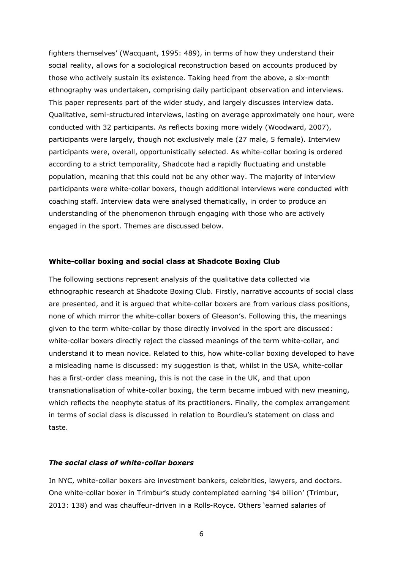fighters themselves' (Wacquant, 1995: 489), in terms of how they understand their social reality, allows for a sociological reconstruction based on accounts produced by those who actively sustain its existence. Taking heed from the above, a six-month ethnography was undertaken, comprising daily participant observation and interviews. This paper represents part of the wider study, and largely discusses interview data. Qualitative, semi-structured interviews, lasting on average approximately one hour, were conducted with 32 participants. As reflects boxing more widely (Woodward, 2007), participants were largely, though not exclusively male (27 male, 5 female). Interview participants were, overall, opportunistically selected. As white-collar boxing is ordered according to a strict temporality, Shadcote had a rapidly fluctuating and unstable population, meaning that this could not be any other way. The majority of interview participants were white-collar boxers, though additional interviews were conducted with coaching staff. Interview data were analysed thematically, in order to produce an understanding of the phenomenon through engaging with those who are actively engaged in the sport. Themes are discussed below.

## **White-collar boxing and social class at Shadcote Boxing Club**

The following sections represent analysis of the qualitative data collected via ethnographic research at Shadcote Boxing Club. Firstly, narrative accounts of social class are presented, and it is argued that white-collar boxers are from various class positions, none of which mirror the white-collar boxers of Gleason's. Following this, the meanings given to the term white-collar by those directly involved in the sport are discussed: white-collar boxers directly reject the classed meanings of the term white-collar, and understand it to mean novice. Related to this, how white-collar boxing developed to have a misleading name is discussed: my suggestion is that, whilst in the USA, white-collar has a first-order class meaning, this is not the case in the UK, and that upon transnationalisation of white-collar boxing, the term became imbued with new meaning, which reflects the neophyte status of its practitioners. Finally, the complex arrangement in terms of social class is discussed in relation to Bourdieu's statement on class and taste.

# *The social class of white-collar boxers*

In NYC, white-collar boxers are investment bankers, celebrities, lawyers, and doctors. One white-collar boxer in Trimbur's study contemplated earning '\$4 billion' (Trimbur, 2013: 138) and was chauffeur-driven in a Rolls-Royce. Others 'earned salaries of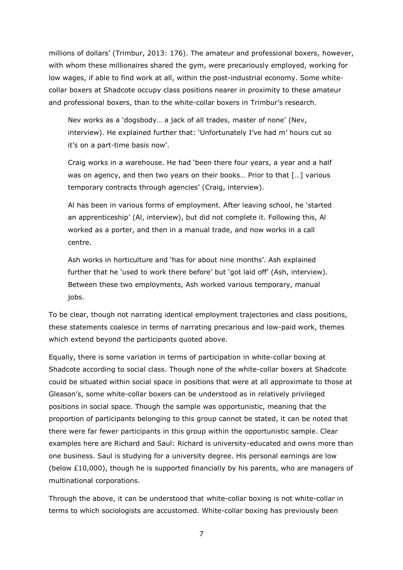millions of dollars' (Trimbur, 2013: 176). The amateur and professional boxers, however, with whom these millionaires shared the gym, were precariously employed, working for low wages, if able to find work at all, within the post-industrial economy. Some whitecollar boxers at Shadcote occupy class positions nearer in proximity to these amateur and professional boxers, than to the white-collar boxers in Trimbur's research.

Nev works as a 'dogsbody… a jack of all trades, master of none' (Nev, interview). He explained further that: 'Unfortunately I've had m' hours cut so it's on a part-time basis now'.

Craig works in a warehouse. He had 'been there four years, a year and a half was on agency, and then two years on their books… Prior to that […] various temporary contracts through agencies' (Craig, interview).

Al has been in various forms of employment. After leaving school, he 'started an apprenticeship' (Al, interview), but did not complete it. Following this, Al worked as a porter, and then in a manual trade, and now works in a call centre.

Ash works in horticulture and 'has for about nine months'. Ash explained further that he 'used to work there before' but 'got laid off' (Ash, interview). Between these two employments, Ash worked various temporary, manual jobs.

To be clear, though not narrating identical employment trajectories and class positions, these statements coalesce in terms of narrating precarious and low-paid work, themes which extend beyond the participants quoted above.

Equally, there is some variation in terms of participation in white-collar boxing at Shadcote according to social class. Though none of the white-collar boxers at Shadcote could be situated within social space in positions that were at all approximate to those at Gleason's, some white-collar boxers can be understood as in relatively privileged positions in social space. Though the sample was opportunistic, meaning that the proportion of participants belonging to this group cannot be stated, it can be noted that there were far fewer participants in this group within the opportunistic sample. Clear examples here are Richard and Saul: Richard is university-educated and owns more than one business. Saul is studying for a university degree. His personal earnings are low (below  $£10,000$ ), though he is supported financially by his parents, who are managers of multinational corporations.

Through the above, it can be understood that white-collar boxing is not white-collar in terms to which sociologists are accustomed. White-collar boxing has previously been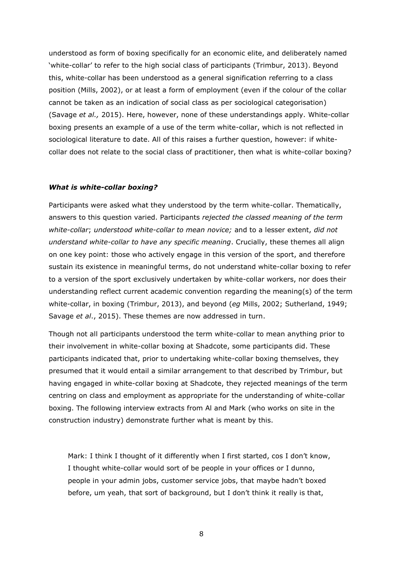understood as form of boxing specifically for an economic elite, and deliberately named 'white-collar' to refer to the high social class of participants (Trimbur, 2013). Beyond this, white-collar has been understood as a general signification referring to a class position (Mills, 2002), or at least a form of employment (even if the colour of the collar cannot be taken as an indication of social class as per sociological categorisation) (Savage *et al.,* 2015). Here, however, none of these understandings apply. White-collar boxing presents an example of a use of the term white-collar, which is not reflected in sociological literature to date. All of this raises a further question, however: if whitecollar does not relate to the social class of practitioner, then what is white-collar boxing?

#### *What is white-collar boxing?*

Participants were asked what they understood by the term white-collar. Thematically, answers to this question varied. Participants *rejected the classed meaning of the term white-collar*; *understood white-collar to mean novice;* and to a lesser extent, *did not understand white-collar to have any specific meaning*. Crucially, these themes all align on one key point: those who actively engage in this version of the sport, and therefore sustain its existence in meaningful terms, do not understand white-collar boxing to refer to a version of the sport exclusively undertaken by white-collar workers, nor does their understanding reflect current academic convention regarding the meaning(s) of the term white-collar, in boxing (Trimbur, 2013), and beyond (*eg* Mills, 2002; Sutherland, 1949; Savage *et al*., 2015). These themes are now addressed in turn.

Though not all participants understood the term white-collar to mean anything prior to their involvement in white-collar boxing at Shadcote, some participants did. These participants indicated that, prior to undertaking white-collar boxing themselves, they presumed that it would entail a similar arrangement to that described by Trimbur, but having engaged in white-collar boxing at Shadcote, they rejected meanings of the term centring on class and employment as appropriate for the understanding of white-collar boxing. The following interview extracts from Al and Mark (who works on site in the construction industry) demonstrate further what is meant by this.

Mark: I think I thought of it differently when I first started, cos I don't know, I thought white-collar would sort of be people in your offices or I dunno, people in your admin jobs, customer service jobs, that maybe hadn't boxed before, um yeah, that sort of background, but I don't think it really is that,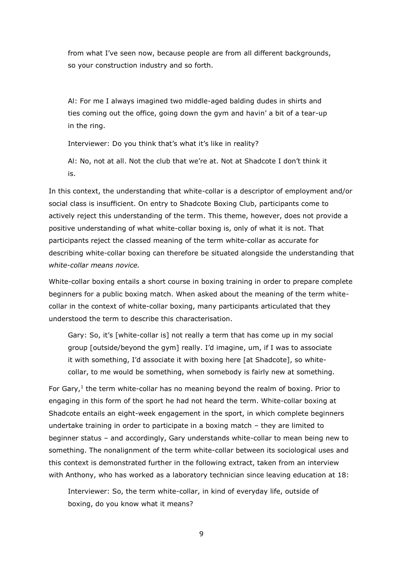from what I've seen now, because people are from all different backgrounds, so your construction industry and so forth.

Al: For me I always imagined two middle-aged balding dudes in shirts and ties coming out the office, going down the gym and havin' a bit of a tear-up in the ring.

Interviewer: Do you think that's what it's like in reality?

Al: No, not at all. Not the club that we're at. Not at Shadcote I don't think it is.

In this context, the understanding that white-collar is a descriptor of employment and/or social class is insufficient. On entry to Shadcote Boxing Club, participants come to actively reject this understanding of the term. This theme, however, does not provide a positive understanding of what white-collar boxing is, only of what it is not. That participants reject the classed meaning of the term white-collar as accurate for describing white-collar boxing can therefore be situated alongside the understanding that *white-collar means novice.*

White-collar boxing entails a short course in boxing training in order to prepare complete beginners for a public boxing match. When asked about the meaning of the term whitecollar in the context of white-collar boxing, many participants articulated that they understood the term to describe this characterisation.

Gary: So, it's [white-collar is] not really a term that has come up in my social group [outside/beyond the gym] really. I'd imagine, um, if I was to associate it with something, I'd associate it with boxing here [at Shadcote], so whitecollar, to me would be something, when somebody is fairly new at something.

For Gary, 1 the term white-collar has no meaning beyond the realm of boxing. Prior to engaging in this form of the sport he had not heard the term. White-collar boxing at Shadcote entails an eight-week engagement in the sport, in which complete beginners undertake training in order to participate in a boxing match – they are limited to beginner status – and accordingly, Gary understands white-collar to mean being new to something. The nonalignment of the term white-collar between its sociological uses and this context is demonstrated further in the following extract, taken from an interview with Anthony, who has worked as a laboratory technician since leaving education at 18:

Interviewer: So, the term white-collar, in kind of everyday life, outside of boxing, do you know what it means?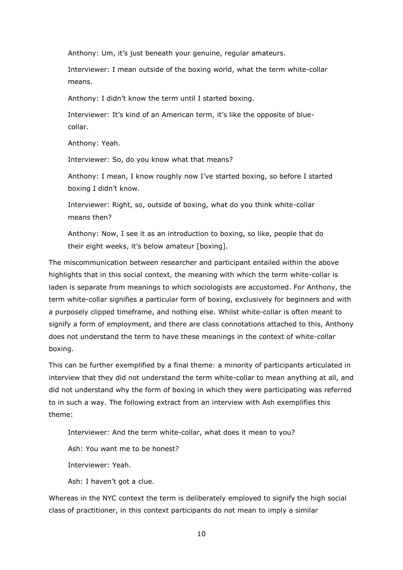Anthony: Um, it's just beneath your genuine, regular amateurs.

Interviewer: I mean outside of the boxing world, what the term white-collar means.

Anthony: I didn't know the term until I started boxing.

Interviewer: It's kind of an American term, it's like the opposite of bluecollar.

Anthony: Yeah.

Interviewer: So, do you know what that means?

Anthony: I mean, I know roughly now I've started boxing, so before I started boxing I didn't know.

Interviewer: Right, so, outside of boxing, what do you think white-collar means then?

Anthony: Now, I see it as an introduction to boxing, so like, people that do their eight weeks, it's below amateur [boxing].

The miscommunication between researcher and participant entailed within the above highlights that in this social context, the meaning with which the term white-collar is laden is separate from meanings to which sociologists are accustomed. For Anthony, the term white-collar signifies a particular form of boxing, exclusively for beginners and with a purposely clipped timeframe, and nothing else. Whilst white-collar is often meant to signify a form of employment, and there are class connotations attached to this, Anthony does not understand the term to have these meanings in the context of white-collar boxing.

This can be further exemplified by a final theme: a minority of participants articulated in interview that they did not understand the term white-collar to mean anything at all, and did not understand why the form of boxing in which they were participating was referred to in such a way. The following extract from an interview with Ash exemplifies this theme:

Interviewer: And the term white-collar, what does it mean to you?

Ash: You want me to be honest?

Interviewer: Yeah.

Ash: I haven't got a clue.

Whereas in the NYC context the term is deliberately employed to signify the high social class of practitioner, in this context participants do not mean to imply a similar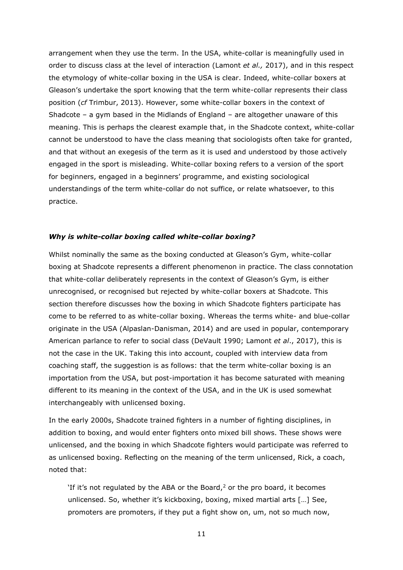arrangement when they use the term. In the USA, white-collar is meaningfully used in order to discuss class at the level of interaction (Lamont *et al.,* 2017), and in this respect the etymology of white-collar boxing in the USA is clear. Indeed, white-collar boxers at Gleason's undertake the sport knowing that the term white-collar represents their class position (*cf* Trimbur, 2013). However, some white-collar boxers in the context of Shadcote – a gym based in the Midlands of England – are altogether unaware of this meaning. This is perhaps the clearest example that, in the Shadcote context, white-collar cannot be understood to have the class meaning that sociologists often take for granted, and that without an exegesis of the term as it is used and understood by those actively engaged in the sport is misleading. White-collar boxing refers to a version of the sport for beginners, engaged in a beginners' programme, and existing sociological understandings of the term white-collar do not suffice, or relate whatsoever, to this practice.

# *Why is white-collar boxing called white-collar boxing?*

Whilst nominally the same as the boxing conducted at Gleason's Gym, white-collar boxing at Shadcote represents a different phenomenon in practice. The class connotation that white-collar deliberately represents in the context of Gleason's Gym, is either unrecognised, or recognised but rejected by white-collar boxers at Shadcote. This section therefore discusses how the boxing in which Shadcote fighters participate has come to be referred to as white-collar boxing. Whereas the terms white- and blue-collar originate in the USA (Alpaslan-Danisman, 2014) and are used in popular, contemporary American parlance to refer to social class (DeVault 1990; Lamont *et al*., 2017), this is not the case in the UK. Taking this into account, coupled with interview data from coaching staff, the suggestion is as follows: that the term white-collar boxing is an importation from the USA, but post-importation it has become saturated with meaning different to its meaning in the context of the USA, and in the UK is used somewhat interchangeably with unlicensed boxing.

In the early 2000s, Shadcote trained fighters in a number of fighting disciplines, in addition to boxing, and would enter fighters onto mixed bill shows. These shows were unlicensed, and the boxing in which Shadcote fighters would participate was referred to as unlicensed boxing. Reflecting on the meaning of the term unlicensed, Rick, a coach, noted that:

'If it's not regulated by the ABA or the Board, $<sup>2</sup>$  or the pro board, it becomes</sup> unlicensed. So, whether it's kickboxing, boxing, mixed martial arts […] See, promoters are promoters, if they put a fight show on, um, not so much now,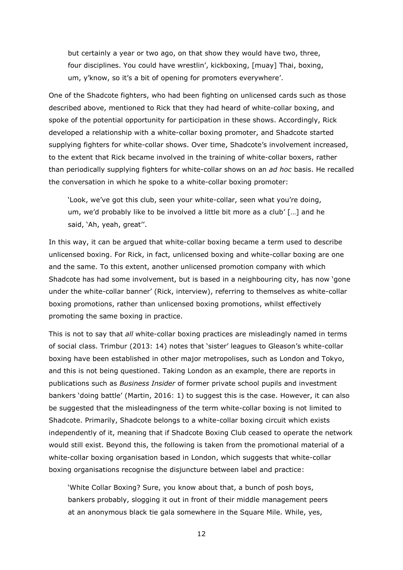but certainly a year or two ago, on that show they would have two, three, four disciplines. You could have wrestlin', kickboxing, [muay] Thai, boxing, um, y'know, so it's a bit of opening for promoters everywhere'.

One of the Shadcote fighters, who had been fighting on unlicensed cards such as those described above, mentioned to Rick that they had heard of white-collar boxing, and spoke of the potential opportunity for participation in these shows. Accordingly, Rick developed a relationship with a white-collar boxing promoter, and Shadcote started supplying fighters for white-collar shows. Over time, Shadcote's involvement increased, to the extent that Rick became involved in the training of white-collar boxers, rather than periodically supplying fighters for white-collar shows on an *ad hoc* basis. He recalled the conversation in which he spoke to a white-collar boxing promoter:

'Look, we've got this club, seen your white-collar, seen what you're doing, um, we'd probably like to be involved a little bit more as a club' […] and he said, 'Ah, yeah, great''.

In this way, it can be argued that white-collar boxing became a term used to describe unlicensed boxing. For Rick, in fact, unlicensed boxing and white-collar boxing are one and the same. To this extent, another unlicensed promotion company with which Shadcote has had some involvement, but is based in a neighbouring city, has now 'gone under the white-collar banner' (Rick, interview), referring to themselves as white-collar boxing promotions, rather than unlicensed boxing promotions, whilst effectively promoting the same boxing in practice.

This is not to say that *all* white-collar boxing practices are misleadingly named in terms of social class. Trimbur (2013: 14) notes that 'sister' leagues to Gleason's white-collar boxing have been established in other major metropolises, such as London and Tokyo, and this is not being questioned. Taking London as an example, there are reports in publications such as *Business Insider* of former private school pupils and investment bankers 'doing battle' (Martin, 2016: 1) to suggest this is the case. However, it can also be suggested that the misleadingness of the term white-collar boxing is not limited to Shadcote. Primarily, Shadcote belongs to a white-collar boxing circuit which exists independently of it, meaning that if Shadcote Boxing Club ceased to operate the network would still exist. Beyond this, the following is taken from the promotional material of a white-collar boxing organisation based in London, which suggests that white-collar boxing organisations recognise the disjuncture between label and practice:

'White Collar Boxing? Sure, you know about that, a bunch of posh boys, bankers probably, slogging it out in front of their middle management peers at an anonymous black tie gala somewhere in the Square Mile. While, yes,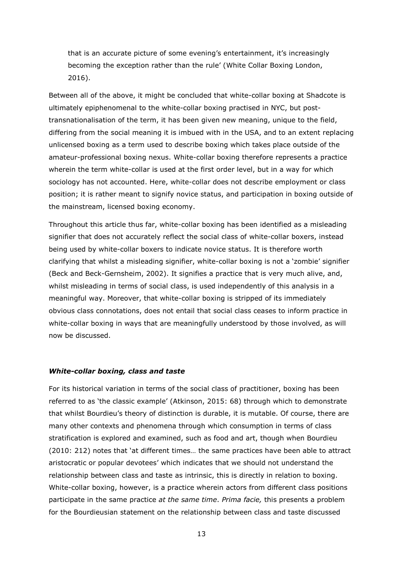that is an accurate picture of some evening's entertainment, it's increasingly becoming the exception rather than the rule' (White Collar Boxing London, 2016).

Between all of the above, it might be concluded that white-collar boxing at Shadcote is ultimately epiphenomenal to the white-collar boxing practised in NYC, but posttransnationalisation of the term, it has been given new meaning, unique to the field, differing from the social meaning it is imbued with in the USA, and to an extent replacing unlicensed boxing as a term used to describe boxing which takes place outside of the amateur-professional boxing nexus. White-collar boxing therefore represents a practice wherein the term white-collar is used at the first order level, but in a way for which sociology has not accounted. Here, white-collar does not describe employment or class position; it is rather meant to signify novice status, and participation in boxing outside of the mainstream, licensed boxing economy.

Throughout this article thus far, white-collar boxing has been identified as a misleading signifier that does not accurately reflect the social class of white-collar boxers, instead being used by white-collar boxers to indicate novice status. It is therefore worth clarifying that whilst a misleading signifier, white-collar boxing is not a 'zombie' signifier (Beck and Beck-Gernsheim, 2002). It signifies a practice that is very much alive, and, whilst misleading in terms of social class, is used independently of this analysis in a meaningful way. Moreover, that white-collar boxing is stripped of its immediately obvious class connotations, does not entail that social class ceases to inform practice in white-collar boxing in ways that are meaningfully understood by those involved, as will now be discussed.

## *White-collar boxing, class and taste*

For its historical variation in terms of the social class of practitioner, boxing has been referred to as 'the classic example' (Atkinson, 2015: 68) through which to demonstrate that whilst Bourdieu's theory of distinction is durable, it is mutable. Of course, there are many other contexts and phenomena through which consumption in terms of class stratification is explored and examined, such as food and art, though when Bourdieu (2010: 212) notes that 'at different times… the same practices have been able to attract aristocratic or popular devotees' which indicates that we should not understand the relationship between class and taste as intrinsic, this is directly in relation to boxing. White-collar boxing, however, is a practice wherein actors from different class positions participate in the same practice *at the same time*. *Prima facie,* this presents a problem for the Bourdieusian statement on the relationship between class and taste discussed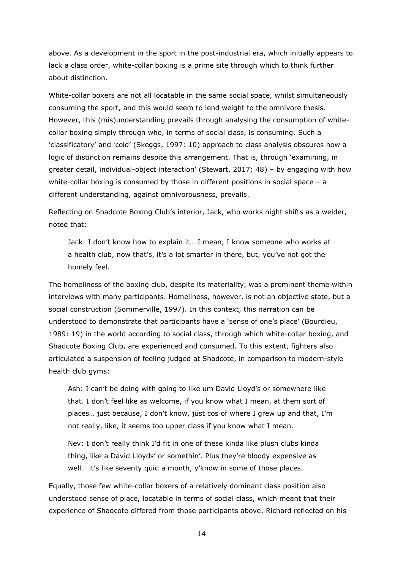above. As a development in the sport in the post-industrial era, which initially appears to lack a class order, white-collar boxing is a prime site through which to think further about distinction.

White-collar boxers are not all locatable in the same social space, whilst simultaneously consuming the sport, and this would seem to lend weight to the omnivore thesis. However, this (mis)understanding prevails through analysing the consumption of whitecollar boxing simply through who, in terms of social class, is consuming. Such a 'classificatory' and 'cold' (Skeggs, 1997: 10) approach to class analysis obscures how a logic of distinction remains despite this arrangement. That is, through 'examining, in greater detail, individual-object interaction' (Stewart, 2017: 48) – by engaging with how white-collar boxing is consumed by those in different positions in social space – a different understanding, against omnivorousness, prevails.

Reflecting on Shadcote Boxing Club's interior, Jack, who works night shifts as a welder, noted that:

Jack: I don't know how to explain it… I mean, I know someone who works at a health club, now that's, it's a lot smarter in there, but, you've not got the homely feel.

The homeliness of the boxing club, despite its materiality, was a prominent theme within interviews with many participants. Homeliness, however, is not an objective state, but a social construction (Sommerville, 1997). In this context, this narration can be understood to demonstrate that participants have a 'sense of one's place' (Bourdieu, 1989: 19) in the world according to social class, through which white-collar boxing, and Shadcote Boxing Club, are experienced and consumed. To this extent, fighters also articulated a suspension of feeling judged at Shadcote, in comparison to modern-style health club gyms:

Ash: I can't be doing with going to like um David Lloyd's or somewhere like that. I don't feel like as welcome, if you know what I mean, at them sort of places… just because, I don't know, just cos of where I grew up and that, I'm not really, like, it seems too upper class if you know what I mean.

Nev: I don't really think I'd fit in one of these kinda like plush clubs kinda thing, like a David Lloyds' or somethin'. Plus they're bloody expensive as well… it's like seventy quid a month, y'know in some of those places.

Equally, those few white-collar boxers of a relatively dominant class position also understood sense of place, locatable in terms of social class, which meant that their experience of Shadcote differed from those participants above. Richard reflected on his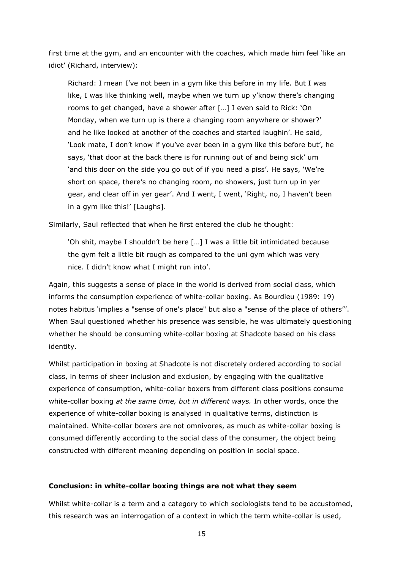first time at the gym, and an encounter with the coaches, which made him feel 'like an idiot' (Richard, interview):

Richard: I mean I've not been in a gym like this before in my life. But I was like, I was like thinking well, maybe when we turn up y'know there's changing rooms to get changed, have a shower after […] I even said to Rick: 'On Monday, when we turn up is there a changing room anywhere or shower?' and he like looked at another of the coaches and started laughin'. He said, 'Look mate, I don't know if you've ever been in a gym like this before but', he says, 'that door at the back there is for running out of and being sick' um 'and this door on the side you go out of if you need a piss'. He says, 'We're short on space, there's no changing room, no showers, just turn up in yer gear, and clear off in yer gear'. And I went, I went, 'Right, no, I haven't been in a gym like this!' [Laughs].

Similarly, Saul reflected that when he first entered the club he thought:

'Oh shit, maybe I shouldn't be here […] I was a little bit intimidated because the gym felt a little bit rough as compared to the uni gym which was very nice. I didn't know what I might run into'.

Again, this suggests a sense of place in the world is derived from social class, which informs the consumption experience of white-collar boxing. As Bourdieu (1989: 19) notes habitus 'implies a "sense of one's place" but also a "sense of the place of others"'. When Saul questioned whether his presence was sensible, he was ultimately questioning whether he should be consuming white-collar boxing at Shadcote based on his class identity.

Whilst participation in boxing at Shadcote is not discretely ordered according to social class, in terms of sheer inclusion and exclusion, by engaging with the qualitative experience of consumption, white-collar boxers from different class positions consume white-collar boxing *at the same time, but in different ways.* In other words, once the experience of white-collar boxing is analysed in qualitative terms, distinction is maintained. White-collar boxers are not omnivores, as much as white-collar boxing is consumed differently according to the social class of the consumer, the object being constructed with different meaning depending on position in social space.

## **Conclusion: in white-collar boxing things are not what they seem**

Whilst white-collar is a term and a category to which sociologists tend to be accustomed, this research was an interrogation of a context in which the term white-collar is used,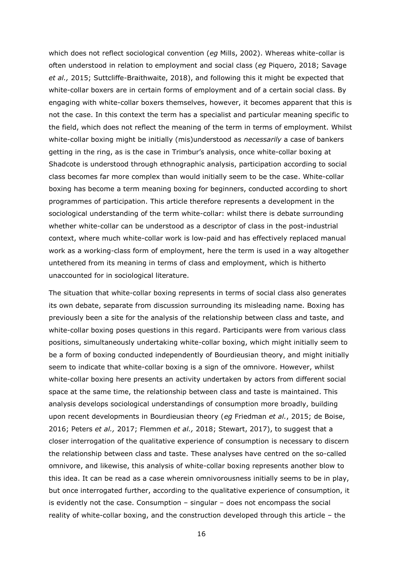which does not reflect sociological convention (*eg* Mills, 2002). Whereas white-collar is often understood in relation to employment and social class (*eg* Piquero, 2018; Savage *et al.,* 2015; Suttcliffe-Braithwaite, 2018), and following this it might be expected that white-collar boxers are in certain forms of employment and of a certain social class. By engaging with white-collar boxers themselves, however, it becomes apparent that this is not the case. In this context the term has a specialist and particular meaning specific to the field, which does not reflect the meaning of the term in terms of employment. Whilst white-collar boxing might be initially (mis)understood as *necessarily* a case of bankers getting in the ring, as is the case in Trimbur's analysis, once white-collar boxing at Shadcote is understood through ethnographic analysis, participation according to social class becomes far more complex than would initially seem to be the case. White-collar boxing has become a term meaning boxing for beginners, conducted according to short programmes of participation. This article therefore represents a development in the sociological understanding of the term white-collar: whilst there is debate surrounding whether white-collar can be understood as a descriptor of class in the post-industrial context, where much white-collar work is low-paid and has effectively replaced manual work as a working-class form of employment, here the term is used in a way altogether untethered from its meaning in terms of class and employment, which is hitherto unaccounted for in sociological literature.

The situation that white-collar boxing represents in terms of social class also generates its own debate, separate from discussion surrounding its misleading name. Boxing has previously been a site for the analysis of the relationship between class and taste, and white-collar boxing poses questions in this regard. Participants were from various class positions, simultaneously undertaking white-collar boxing, which might initially seem to be a form of boxing conducted independently of Bourdieusian theory, and might initially seem to indicate that white-collar boxing is a sign of the omnivore. However, whilst white-collar boxing here presents an activity undertaken by actors from different social space at the same time, the relationship between class and taste is maintained. This analysis develops sociological understandings of consumption more broadly, building upon recent developments in Bourdieusian theory (*eg* Friedman *et al.*, 2015; de Boise, 2016; Peters *et al.,* 2017; Flemmen *et al.,* 2018; Stewart, 2017), to suggest that a closer interrogation of the qualitative experience of consumption is necessary to discern the relationship between class and taste. These analyses have centred on the so-called omnivore, and likewise, this analysis of white-collar boxing represents another blow to this idea. It can be read as a case wherein omnivorousness initially seems to be in play, but once interrogated further, according to the qualitative experience of consumption, it is evidently not the case. Consumption – singular – does not encompass the social reality of white-collar boxing, and the construction developed through this article – the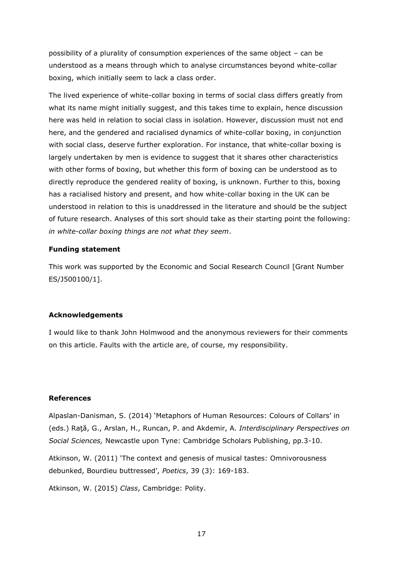possibility of a plurality of consumption experiences of the same object – can be understood as a means through which to analyse circumstances beyond white-collar boxing, which initially seem to lack a class order.

The lived experience of white-collar boxing in terms of social class differs greatly from what its name might initially suggest, and this takes time to explain, hence discussion here was held in relation to social class in isolation. However, discussion must not end here, and the gendered and racialised dynamics of white-collar boxing, in conjunction with social class, deserve further exploration. For instance, that white-collar boxing is largely undertaken by men is evidence to suggest that it shares other characteristics with other forms of boxing, but whether this form of boxing can be understood as to directly reproduce the gendered reality of boxing, is unknown. Further to this, boxing has a racialised history and present, and how white-collar boxing in the UK can be understood in relation to this is unaddressed in the literature and should be the subject of future research. Analyses of this sort should take as their starting point the following: *in white-collar boxing things are not what they seem*.

# **Funding statement**

This work was supported by the Economic and Social Research Council [Grant Number ES/J500100/1].

# **Acknowledgements**

I would like to thank John Holmwood and the anonymous reviewers for their comments on this article. Faults with the article are, of course, my responsibility.

# **References**

Alpaslan-Danisman, S. (2014) 'Metaphors of Human Resources: Colours of Collars' in (eds.) Raţă, G., Arslan, H., Runcan, P. and Akdemir, A. *Interdisciplinary Perspectives on Social Sciences,* Newcastle upon Tyne: Cambridge Scholars Publishing, pp.3-10.

Atkinson, W. (2011) 'The context and genesis of musical tastes: Omnivorousness debunked, Bourdieu buttressed', *Poetics*, 39 (3): 169-183.

Atkinson, W. (2015) *Class*, Cambridge: Polity.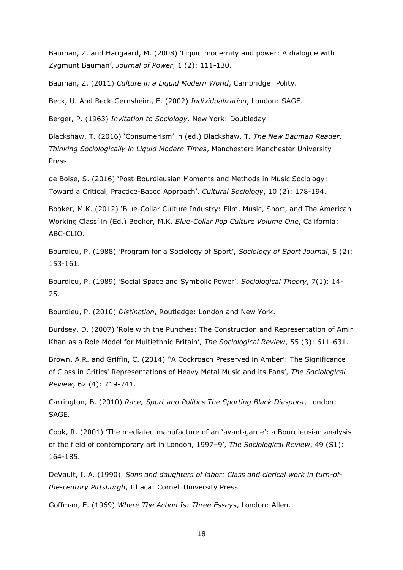Bauman, Z. and Haugaard, M. (2008) 'Liquid modernity and power: A dialogue with Zygmunt Bauman', *Journal of Power*, 1 (2): 111-130.

Bauman, Z. (2011) *Culture in a Liquid Modern World*, Cambridge: Polity.

Beck, U. And Beck-Gernsheim, E. (2002) *Individualization*, London: SAGE.

Berger, P. (1963) *Invitation to Sociology,* New York: Doubleday.

Blackshaw, T. (2016) 'Consumerism' in (ed.) Blackshaw, T. *The New Bauman Reader: Thinking Sociologically in Liquid Modern Times*, Manchester: Manchester University Press.

de Boise, S. (2016) 'Post-Bourdieusian Moments and Methods in Music Sociology: Toward a Critical, Practice-Based Approach', *Cultural Sociology*, 10 (2): 178-194.

Booker, M.K. (2012) 'Blue-Collar Culture Industry: Film, Music, Sport, and The American Working Class' in (Ed.) Booker, M.K. *Blue-Collar Pop Culture Volume One*, California: ABC-CLIO.

Bourdieu, P. (1988) 'Program for a Sociology of Sport', *Sociology of Sport Journal*, 5 (2): 153-161.

Bourdieu, P. (1989) 'Social Space and Symbolic Power', *Sociological Theory*, 7(1): 14- 25.

Bourdieu, P. (2010) *Distinction*, Routledge: London and New York.

Burdsey, D. (2007) 'Role with the Punches: The Construction and Representation of Amir Khan as a Role Model for Multiethnic Britain', *The Sociological Review*, 55 (3): 611-631.

Brown, A.R. and Griffin, C. (2014) ''A Cockroach Preserved in Amber': The Significance of Class in Critics' Representations of Heavy Metal Music and its Fans', *The Sociological Review*, 62 (4): 719-741.

Carrington, B. (2010) *Race, Sport and Politics The Sporting Black Diaspora*, London: SAGE.

Cook, R. (2001) 'The mediated manufacture of an 'avant‐garde': a Bourdieusian analysis of the field of contemporary art in London, 1997–9', *The Sociological Review*, 49 (S1): 164-185.

DeVault, I. A. (1990). *Sons and daughters of labor: Class and clerical work in turn-ofthe-century Pittsburgh*, Ithaca: Cornell University Press.

Goffman, E. (1969) *Where The Action Is: Three Essays*, London: Allen.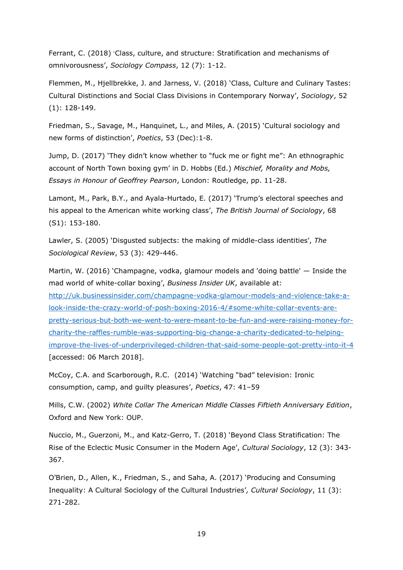Ferrant, C. (2018) 'Class, culture, and structure: Stratification and mechanisms of omnivorousness', *Sociology Compass*, 12 (7): 1-12.

Flemmen, M., Hjellbrekke, J. and Jarness, V. (2018) 'Class, Culture and Culinary Tastes: Cultural Distinctions and Social Class Divisions in Contemporary Norway', *Sociology*, 52 (1): 128-149.

Friedman, S., Savage, M., Hanquinet, L., and Miles, A. (2015) 'Cultural sociology and new forms of distinction', *Poetics*, 53 (Dec):1-8.

Jump, D. (2017) 'They didn't know whether to "fuck me or fight me": An ethnographic account of North Town boxing gym' in D. Hobbs (Ed.) *Mischief, Morality and Mobs, Essays in Honour of Geoffrey Pearson*, London: Routledge, pp. 11-28.

Lamont, M., Park, B.Y., and Ayala-Hurtado, E. (2017) 'Trump's electoral speeches and his appeal to the American white working class', *The British Journal of Sociology*, 68 (S1): 153-180.

Lawler, S. (2005) 'Disgusted subjects: the making of middle-class identities', *The Sociological Review*, 53 (3): 429-446.

Martin, W. (2016) 'Champagne, vodka, glamour models and 'doing battle' — Inside the mad world of white-collar boxing', *Business Insider UK*, available at: [http://uk.businessinsider.com/champagne-vodka-glamour-models-and-violence-take-a](http://uk.businessinsider.com/champagne-vodka-glamour-models-and-violence-take-a-look-inside-the-crazy-world-of-posh-boxing-2016-4/#some-white-collar-events-are-pretty-serious-but-both-we-went-to-were-meant-to-be-fun-and-were-raising-money-for-charity-the-raffles-rumble-was-supporting-big-change-a-charity-dedicated-to-helping-improve-the-lives-of-underprivileged-children-that-said-som)[look-inside-the-crazy-world-of-posh-boxing-2016-4/#some-white-collar-events-are](http://uk.businessinsider.com/champagne-vodka-glamour-models-and-violence-take-a-look-inside-the-crazy-world-of-posh-boxing-2016-4/#some-white-collar-events-are-pretty-serious-but-both-we-went-to-were-meant-to-be-fun-and-were-raising-money-for-charity-the-raffles-rumble-was-supporting-big-change-a-charity-dedicated-to-helping-improve-the-lives-of-underprivileged-children-that-said-som)[pretty-serious-but-both-we-went-to-were-meant-to-be-fun-and-were-raising-money-for](http://uk.businessinsider.com/champagne-vodka-glamour-models-and-violence-take-a-look-inside-the-crazy-world-of-posh-boxing-2016-4/#some-white-collar-events-are-pretty-serious-but-both-we-went-to-were-meant-to-be-fun-and-were-raising-money-for-charity-the-raffles-rumble-was-supporting-big-change-a-charity-dedicated-to-helping-improve-the-lives-of-underprivileged-children-that-said-som)[charity-the-raffles-rumble-was-supporting-big-change-a-charity-dedicated-to-helping](http://uk.businessinsider.com/champagne-vodka-glamour-models-and-violence-take-a-look-inside-the-crazy-world-of-posh-boxing-2016-4/#some-white-collar-events-are-pretty-serious-but-both-we-went-to-were-meant-to-be-fun-and-were-raising-money-for-charity-the-raffles-rumble-was-supporting-big-change-a-charity-dedicated-to-helping-improve-the-lives-of-underprivileged-children-that-said-som)[improve-the-lives-of-underprivileged-children-that-said-some-people-got-pretty-into-it-4](http://uk.businessinsider.com/champagne-vodka-glamour-models-and-violence-take-a-look-inside-the-crazy-world-of-posh-boxing-2016-4/#some-white-collar-events-are-pretty-serious-but-both-we-went-to-were-meant-to-be-fun-and-were-raising-money-for-charity-the-raffles-rumble-was-supporting-big-change-a-charity-dedicated-to-helping-improve-the-lives-of-underprivileged-children-that-said-som) [accessed: 06 March 2018].

McCoy, C.A. and Scarborough, R.C. (2014) 'Watching "bad" television: Ironic consumption, camp, and guilty pleasures', *Poetics*, 47: 41–59

Mills, C.W. (2002) *White Collar The American Middle Classes Fiftieth Anniversary Edition*, Oxford and New York: OUP.

Nuccio, M., Guerzoni, M., and Katz-Gerro, T. (2018) 'Beyond Class Stratification: The Rise of the Eclectic Music Consumer in the Modern Age', *Cultural Sociology*, 12 (3): 343- 367.

O'Brien, D., Allen, K., Friedman, S., and Saha, A. (2017) 'Producing and Consuming Inequality: A Cultural Sociology of the Cultural Industries'*, Cultural Sociology*, 11 (3): 271-282.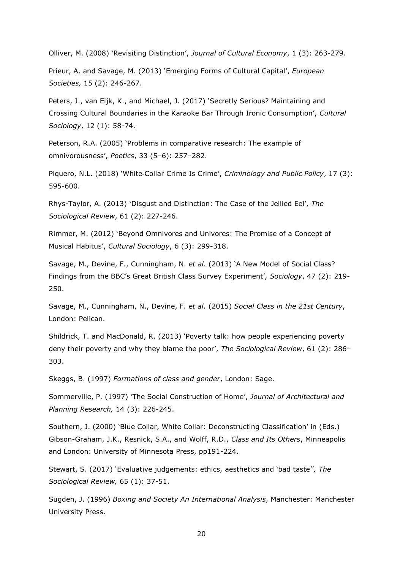Olliver, M. (2008) 'Revisiting Distinction', *Journal of Cultural Economy*, 1 (3): 263-279.

Prieur, A. and Savage, M. (2013) 'Emerging Forms of Cultural Capital', *European Societies,* 15 (2): 246-267.

Peters, J., van Eijk, K., and Michael, J. (2017) 'Secretly Serious? Maintaining and Crossing Cultural Boundaries in the Karaoke Bar Through Ironic Consumption', *Cultural Sociology*, 12 (1): 58-74.

Peterson, R.A. (2005) 'Problems in comparative research: The example of omnivorousness', *Poetics*, 33 (5–6): 257–282.

Piquero, N.L. (2018) 'White‐Collar Crime Is Crime', *Criminology and Public Policy*, 17 (3): 595-600.

Rhys-Taylor, A. (2013) 'Disgust and Distinction: The Case of the Jellied Eel', *The Sociological Review*, 61 (2): 227-246.

Rimmer, M. (2012) 'Beyond Omnivores and Univores: The Promise of a Concept of Musical Habitus', *Cultural Sociology*, 6 (3): 299-318.

Savage, M., Devine, F., Cunningham, N. *et al.* (2013) 'A New Model of Social Class? Findings from the BBC's Great British Class Survey Experiment', *Sociology*, 47 (2): 219- 250.

Savage, M., Cunningham, N., Devine, F. *et al.* (2015) *Social Class in the 21st Century*, London: Pelican.

Shildrick, T. and MacDonald, R. (2013) 'Poverty talk: how people experiencing poverty deny their poverty and why they blame the poor', *The Sociological Review*, 61 (2): 286– 303.

Skeggs, B. (1997) *Formations of class and gender*, London: Sage.

Sommerville, P. (1997) 'The Social Construction of Home', *Journal of Architectural and Planning Research,* 14 (3): 226-245.

Southern, J. (2000) 'Blue Collar, White Collar: Deconstructing Classification' in (Eds.) Gibson-Graham, J.K., Resnick, S.A., and Wolff, R.D., *Class and Its Others*, Minneapolis and London: University of Minnesota Press, pp191-224.

Stewart, S. (2017) 'Evaluative judgements: ethics, aesthetics and 'bad taste''*, The Sociological Review,* 65 (1): 37-51.

Sugden, J. (1996) *Boxing and Society An International Analysis*, Manchester: Manchester University Press.